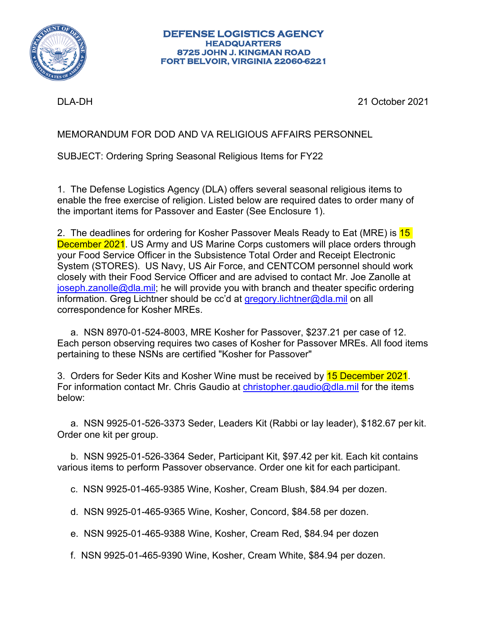

#### **DEFENSE LOGISTICS AGENCY HEADQUARTERS 8725 JOHN J. KINGMAN ROAD FORT BELVOIR, VIRGINIA 22060-6221**

DLA-DH 21 October 2021

MEMORANDUM FOR DOD AND VA RELIGIOUS AFFAIRS PERSONNEL

SUBJECT: Ordering Spring Seasonal Religious Items for FY22

1. The Defense Logistics Agency (DLA) offers several seasonal religious items to enable the free exercise of religion. Listed below are required dates to order many of the important items for Passover and Easter (See Enclosure 1).

2. The deadlines for ordering for Kosher Passover Meals Ready to Eat (MRE) is 15 December 2021. US Army and US Marine Corps customers will place orders through your Food Service Officer in the Subsistence Total Order and Receipt Electronic System (STORES). US Navy, US Air Force, and CENTCOM personnel should work closely with their Food Service Officer and are advised to contact Mr. Joe Zanolle at [joseph.zanolle@dla.mil;](mailto:joseph.zanolle@dla.mil) he will provide you with branch and theater specific ordering information. Greg Lichtner should be cc'd at [gregory.lichtner@dla.mil](mailto:gregory.lichtner@dla.mil) on all correspondence for Kosher MREs.

 a. NSN 8970-01-524-8003, MRE Kosher for Passover, \$237.21 per case of 12. Each person observing requires two cases of Kosher for Passover MREs. All food items pertaining to these NSNs are certified "Kosher for Passover"

3. Orders for Seder Kits and Kosher Wine must be received by 15 December 2021. For information contact Mr. Chris Gaudio at [christopher.gaudio@dla.mil](mailto:christopher.gaudio@dla.mil) for the items below:

 a. NSN 9925-01-526-3373 Seder, Leaders Kit (Rabbi or lay leader), \$182.67 per kit. Order one kit per group.

 b. NSN 9925-01-526-3364 Seder, Participant Kit, \$97.42 per kit. Each kit contains various items to perform Passover observance. Order one kit for each participant.

c. NSN 9925-01-465-9385 Wine, Kosher, Cream Blush, \$84.94 per dozen.

d. NSN 9925-01-465-9365 Wine, Kosher, Concord, \$84.58 per dozen.

e. NSN 9925-01-465-9388 Wine, Kosher, Cream Red, \$84.94 per dozen

f. NSN 9925-01-465-9390 Wine, Kosher, Cream White, \$84.94 per dozen.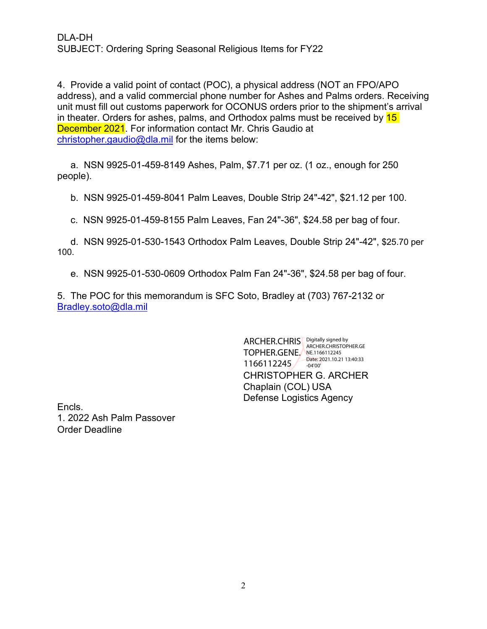4. Provide a valid point of contact (POC), a physical address (NOT an FPO/APO address), and a valid commercial phone number for Ashes and Palms orders. Receiving unit must fill out customs paperwork for OCONUS orders prior to the shipment's arrival in theater. Orders for ashes, palms, and Orthodox palms must be received by  $15$ December 2021. For information contact Mr. Chris Gaudio at [christopher.gaudio@dla.mil](mailto:christopher.gaudio@dla.mil) for the items below:

 a. NSN 9925-01-459-8149 Ashes, Palm, \$7.71 per oz. (1 oz., enough for 250 people).

b. NSN 9925-01-459-8041 Palm Leaves, Double Strip 24"-42", \$21.12 per 100.

c. NSN 9925-01-459-8155 Palm Leaves, Fan 24"-36", \$24.58 per bag of four.

 d. NSN 9925-01-530-1543 Orthodox Palm Leaves, Double Strip 24"-42", \$25.70 per 100.

e. NSN 9925-01-530-0609 Orthodox Palm Fan 24"-36", \$24.58 per bag of four.

5. The POC for this memorandum is SFC Soto, Bradley at (703) 767-2132 or Bradley.soto@dla.mil

> CHRISTOPHER G. ARCHER Chaplain (COL) USA Defense Logistics Agency ARCHER.CHRIS <u>Digitally</u> signed by **TOPHER.GENE**, NE.1166112245 1166112245 ARCHER.CHRISTOPHER.GE Date: 2021.10.21 13:40:33 -04'00'

Encls. 1. 2022 Ash Palm Passover Order Deadline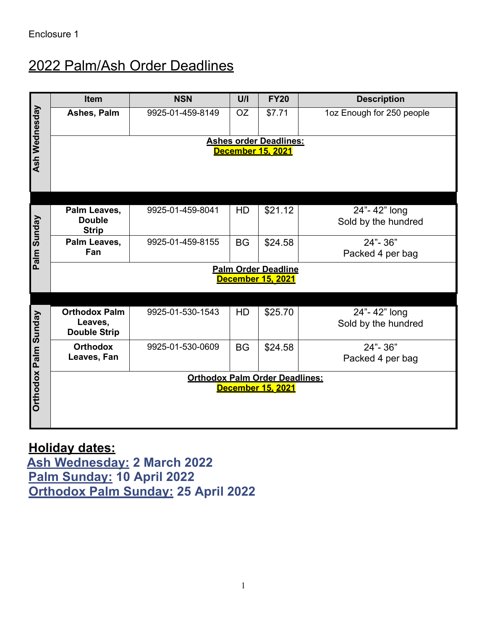# 2022 Palm/Ash Order Deadlines

| <b>Ash Wednesday</b>                       | Item                                                   | <b>NSN</b>       | U/I       | <b>FY20</b> | <b>Description</b>                  |  |  |  |  |
|--------------------------------------------|--------------------------------------------------------|------------------|-----------|-------------|-------------------------------------|--|--|--|--|
|                                            | Ashes, Palm                                            | 9925-01-459-8149 | <b>OZ</b> | \$7.71      | 1oz Enough for 250 people           |  |  |  |  |
|                                            | <b>Ashes order Deadlines:</b>                          |                  |           |             |                                     |  |  |  |  |
|                                            | <b>December 15, 2021</b>                               |                  |           |             |                                     |  |  |  |  |
|                                            |                                                        |                  |           |             |                                     |  |  |  |  |
|                                            |                                                        |                  |           |             |                                     |  |  |  |  |
|                                            |                                                        |                  |           |             |                                     |  |  |  |  |
| Palm Sunday                                | Palm Leaves,<br><b>Double</b>                          | 9925-01-459-8041 | HD        | \$21.12     | 24"-42" long<br>Sold by the hundred |  |  |  |  |
|                                            | <b>Strip</b>                                           |                  |           |             |                                     |  |  |  |  |
|                                            | Palm Leaves,                                           | 9925-01-459-8155 | <b>BG</b> | \$24.58     | 24"-36"                             |  |  |  |  |
|                                            | Fan                                                    |                  |           |             | Packed 4 per bag                    |  |  |  |  |
|                                            | <b>Palm Order Deadline</b><br><b>December 15, 2021</b> |                  |           |             |                                     |  |  |  |  |
|                                            |                                                        |                  |           |             |                                     |  |  |  |  |
|                                            |                                                        |                  |           |             |                                     |  |  |  |  |
|                                            | <b>Orthodox Palm</b><br>Leaves,                        | 9925-01-530-1543 | HD        | \$25.70     | 24"-42" long<br>Sold by the hundred |  |  |  |  |
| <b>Orthodox Palm Sunday</b>                | <b>Double Strip</b>                                    |                  |           |             |                                     |  |  |  |  |
|                                            | <b>Orthodox</b>                                        | 9925-01-530-0609 | <b>BG</b> | \$24.58     | 24"-36"                             |  |  |  |  |
|                                            | Leaves, Fan                                            |                  |           |             | Packed 4 per bag                    |  |  |  |  |
|                                            | <b>Orthodox Palm Order Deadlines:</b>                  |                  |           |             |                                     |  |  |  |  |
|                                            | <b>December 15, 2021</b>                               |                  |           |             |                                     |  |  |  |  |
|                                            |                                                        |                  |           |             |                                     |  |  |  |  |
|                                            |                                                        |                  |           |             |                                     |  |  |  |  |
|                                            |                                                        |                  |           |             |                                     |  |  |  |  |
| <u> Holiday dates:</u>                     |                                                        |                  |           |             |                                     |  |  |  |  |
| <u>Ash Wednesday:</u> 2 March 2022         |                                                        |                  |           |             |                                     |  |  |  |  |
| Palm Sunday: 10 April 2022                 |                                                        |                  |           |             |                                     |  |  |  |  |
| <b>Orthodox Palm Sunday: 25 April 2022</b> |                                                        |                  |           |             |                                     |  |  |  |  |

## **Holiday dates:**